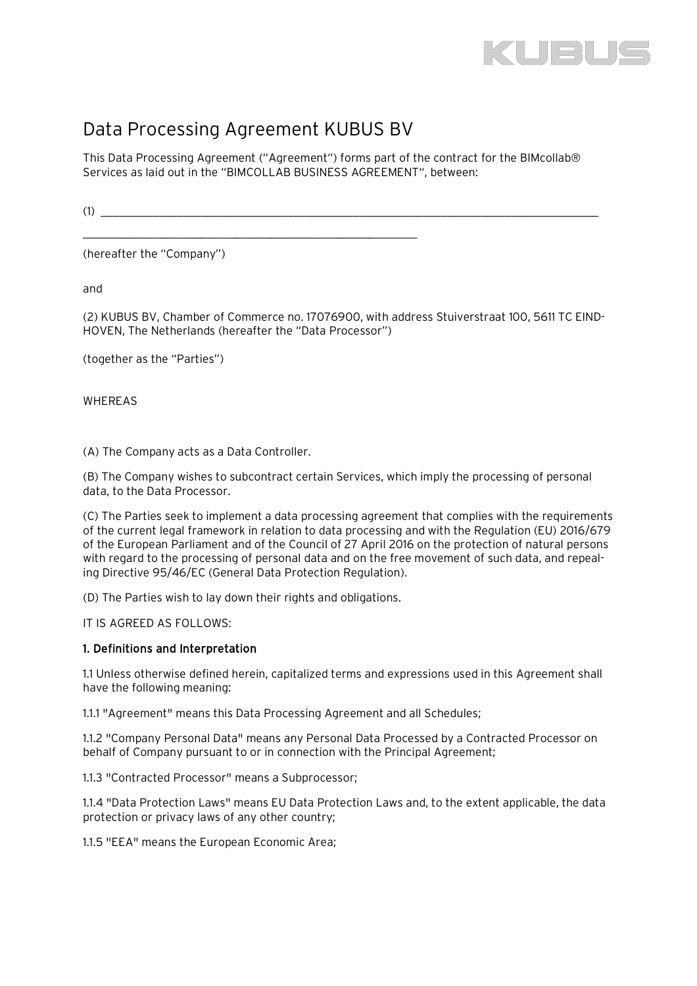

# Data Processing Agreement KUBUS BV

\_\_\_\_\_\_\_\_\_\_\_\_\_\_\_\_\_\_\_\_\_\_\_\_\_\_\_\_\_\_\_\_\_\_\_\_\_\_\_\_\_\_\_\_\_\_\_\_\_\_\_\_\_\_\_\_\_

This Data Processing Agreement ("Agreement") forms part of the contract for the BIMcollab® Services as laid out in the "BIMCOLLAB BUSINESS AGREEMENT", between:

 $(1)$ 

(hereafter the "Company")

and

(2) KUBUS BV, Chamber of Commerce no. 17076900, with address Stuiverstraat 100, 5611 TC EIND-HOVEN, The Netherlands (hereafter the "Data Processor")

(together as the "Parties")

WHEREAS

(A) The Company acts as a Data Controller.

(B) The Company wishes to subcontract certain Services, which imply the processing of personal data, to the Data Processor.

(C) The Parties seek to implement a data processing agreement that complies with the requirements of the current legal framework in relation to data processing and with the Regulation (EU) 2016/679 of the European Parliament and of the Council of 27 April 2016 on the protection of natural persons with regard to the processing of personal data and on the free movement of such data, and repealing Directive 95/46/EC (General Data Protection Regulation).

(D) The Parties wish to lay down their rights and obligations.

IT IS AGREED AS FOLLOWS:

## 1. Definitions and Interpretation

1.1 Unless otherwise defined herein, capitalized terms and expressions used in this Agreement shall have the following meaning:

1.1.1 "Agreement" means this Data Processing Agreement and all Schedules;

1.1.2 "Company Personal Data" means any Personal Data Processed by a Contracted Processor on behalf of Company pursuant to or in connection with the Principal Agreement;

1.1.3 "Contracted Processor" means a Subprocessor;

1.1.4 "Data Protection Laws" means EU Data Protection Laws and, to the extent applicable, the data protection or privacy laws of any other country;

1.1.5 "EEA" means the European Economic Area;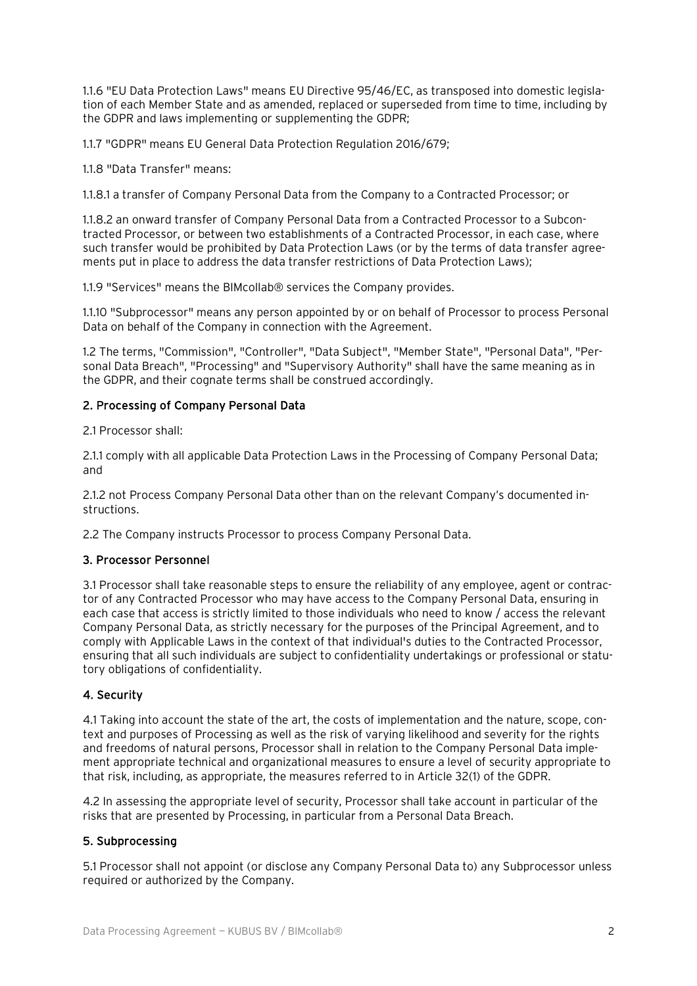1.1.6 "EU Data Protection Laws" means EU Directive 95/46/EC, as transposed into domestic legislation of each Member State and as amended, replaced or superseded from time to time, including by the GDPR and laws implementing or supplementing the GDPR;

1.1.7 "GDPR" means EU General Data Protection Regulation 2016/679;

1.1.8 "Data Transfer" means:

1.1.8.1 a transfer of Company Personal Data from the Company to a Contracted Processor; or

1.1.8.2 an onward transfer of Company Personal Data from a Contracted Processor to a Subcontracted Processor, or between two establishments of a Contracted Processor, in each case, where such transfer would be prohibited by Data Protection Laws (or by the terms of data transfer agreements put in place to address the data transfer restrictions of Data Protection Laws);

1.1.9 "Services" means the BIMcollab® services the Company provides.

1.1.10 "Subprocessor" means any person appointed by or on behalf of Processor to process Personal Data on behalf of the Company in connection with the Agreement.

1.2 The terms, "Commission", "Controller", "Data Subject", "Member State", "Personal Data", "Personal Data Breach", "Processing" and "Supervisory Authority" shall have the same meaning as in the GDPR, and their cognate terms shall be construed accordingly.

## 2. Processing of Company Personal Data

2.1 Processor shall:

2.1.1 comply with all applicable Data Protection Laws in the Processing of Company Personal Data; and

2.1.2 not Process Company Personal Data other than on the relevant Company's documented instructions.

2.2 The Company instructs Processor to process Company Personal Data.

## 3. Processor Personnel

3.1 Processor shall take reasonable steps to ensure the reliability of any employee, agent or contractor of any Contracted Processor who may have access to the Company Personal Data, ensuring in each case that access is strictly limited to those individuals who need to know / access the relevant Company Personal Data, as strictly necessary for the purposes of the Principal Agreement, and to comply with Applicable Laws in the context of that individual's duties to the Contracted Processor, ensuring that all such individuals are subject to confidentiality undertakings or professional or statutory obligations of confidentiality.

## 4. Security

4.1 Taking into account the state of the art, the costs of implementation and the nature, scope, context and purposes of Processing as well as the risk of varying likelihood and severity for the rights and freedoms of natural persons, Processor shall in relation to the Company Personal Data implement appropriate technical and organizational measures to ensure a level of security appropriate to that risk, including, as appropriate, the measures referred to in Article 32(1) of the GDPR.

4.2 In assessing the appropriate level of security, Processor shall take account in particular of the risks that are presented by Processing, in particular from a Personal Data Breach.

## 5. Subprocessing

5.1 Processor shall not appoint (or disclose any Company Personal Data to) any Subprocessor unless required or authorized by the Company.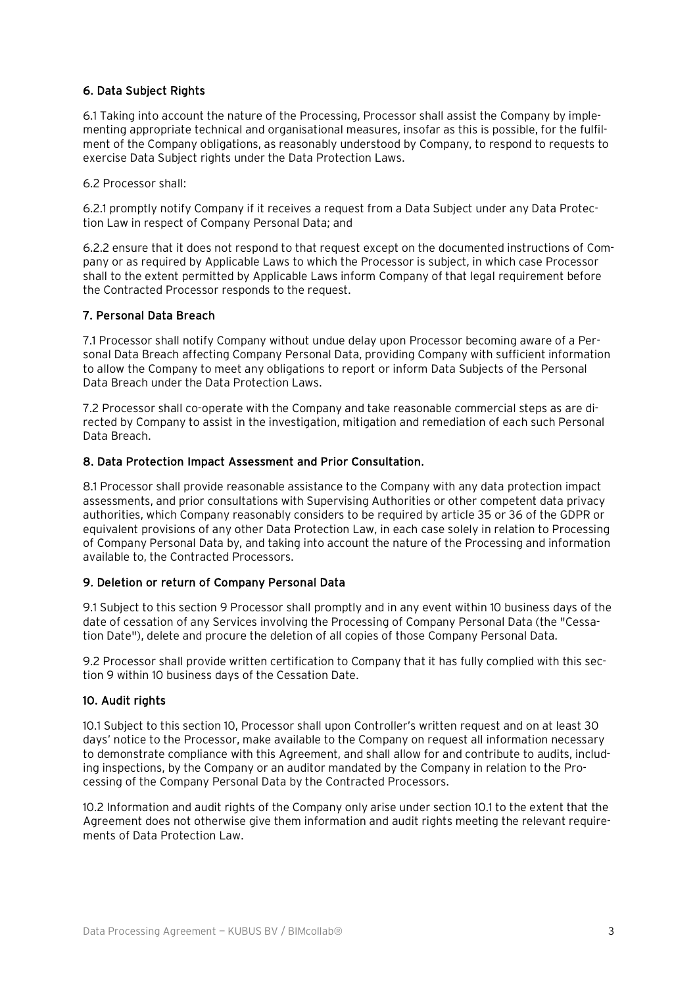# 6. Data Subject Rights

6.1 Taking into account the nature of the Processing, Processor shall assist the Company by implementing appropriate technical and organisational measures, insofar as this is possible, for the fulfilment of the Company obligations, as reasonably understood by Company, to respond to requests to exercise Data Subject rights under the Data Protection Laws.

6.2 Processor shall:

6.2.1 promptly notify Company if it receives a request from a Data Subject under any Data Protection Law in respect of Company Personal Data; and

6.2.2 ensure that it does not respond to that request except on the documented instructions of Company or as required by Applicable Laws to which the Processor is subject, in which case Processor shall to the extent permitted by Applicable Laws inform Company of that legal requirement before the Contracted Processor responds to the request.

## 7. Personal Data Breach

7.1 Processor shall notify Company without undue delay upon Processor becoming aware of a Personal Data Breach affecting Company Personal Data, providing Company with sufficient information to allow the Company to meet any obligations to report or inform Data Subjects of the Personal Data Breach under the Data Protection Laws.

7.2 Processor shall co-operate with the Company and take reasonable commercial steps as are directed by Company to assist in the investigation, mitigation and remediation of each such Personal Data Breach.

## 8. Data Protection Impact Assessment and Prior Consultation.

8.1 Processor shall provide reasonable assistance to the Company with any data protection impact assessments, and prior consultations with Supervising Authorities or other competent data privacy authorities, which Company reasonably considers to be required by article 35 or 36 of the GDPR or equivalent provisions of any other Data Protection Law, in each case solely in relation to Processing of Company Personal Data by, and taking into account the nature of the Processing and information available to, the Contracted Processors.

## 9. Deletion or return of Company Personal Data

9.1 Subject to this section 9 Processor shall promptly and in any event within 10 business days of the date of cessation of any Services involving the Processing of Company Personal Data (the "Cessation Date"), delete and procure the deletion of all copies of those Company Personal Data.

9.2 Processor shall provide written certification to Company that it has fully complied with this section 9 within 10 business days of the Cessation Date.

## 10. Audit rights

10.1 Subject to this section 10, Processor shall upon Controller's written request and on at least 30 days' notice to the Processor, make available to the Company on request all information necessary to demonstrate compliance with this Agreement, and shall allow for and contribute to audits, including inspections, by the Company or an auditor mandated by the Company in relation to the Processing of the Company Personal Data by the Contracted Processors.

10.2 Information and audit rights of the Company only arise under section 10.1 to the extent that the Agreement does not otherwise give them information and audit rights meeting the relevant requirements of Data Protection Law.